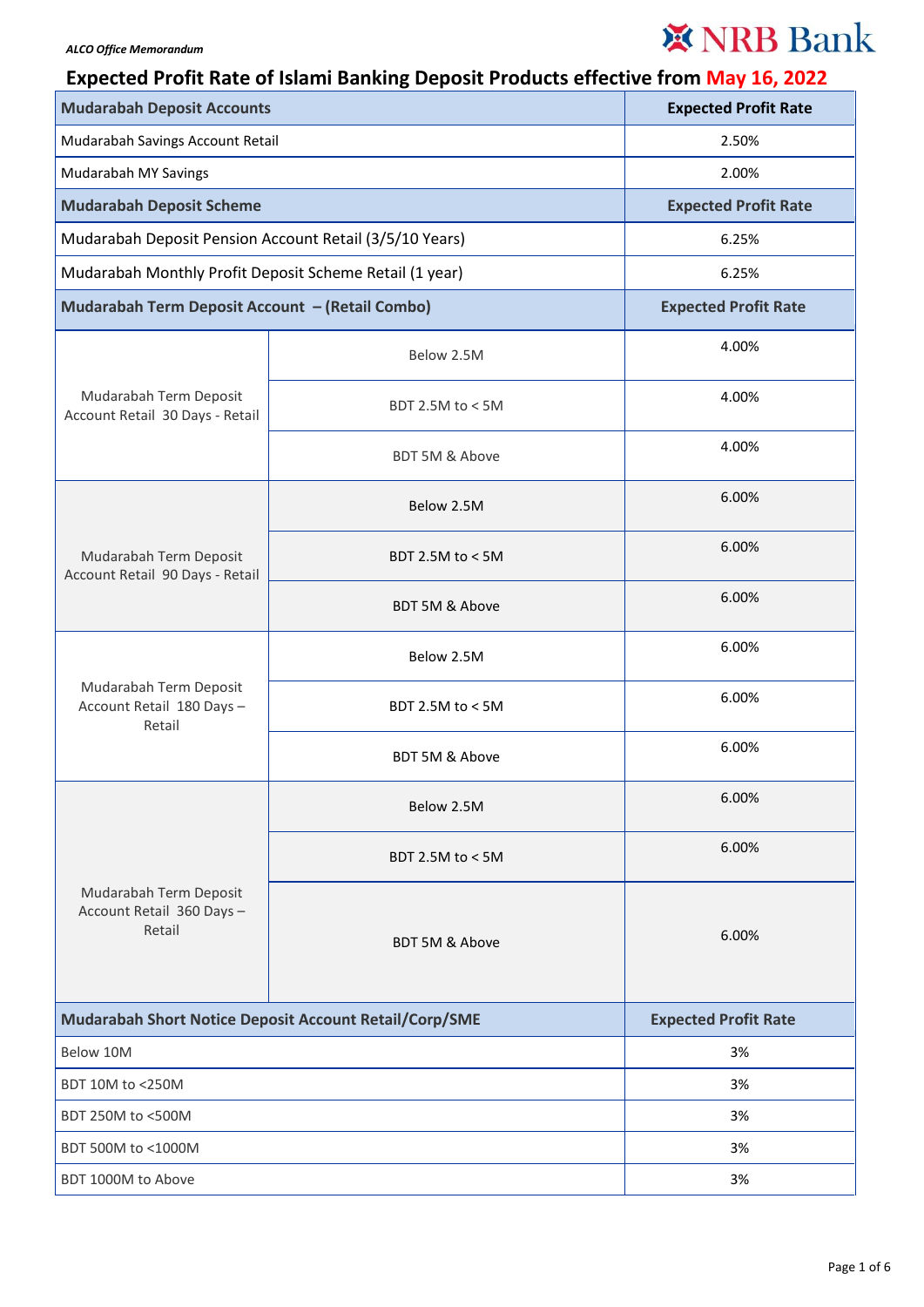## ※ NRB Bank

## **Expected Profit Rate of Islami Banking Deposit Products effective from May 16, 2022**

| <b>Mudarabah Deposit Accounts</b>                             |                    | <b>Expected Profit Rate</b> |
|---------------------------------------------------------------|--------------------|-----------------------------|
| Mudarabah Savings Account Retail                              |                    | 2.50%                       |
| Mudarabah MY Savings                                          |                    | 2.00%                       |
| <b>Mudarabah Deposit Scheme</b>                               |                    | <b>Expected Profit Rate</b> |
| Mudarabah Deposit Pension Account Retail (3/5/10 Years)       |                    | 6.25%                       |
| Mudarabah Monthly Profit Deposit Scheme Retail (1 year)       |                    | 6.25%                       |
| Mudarabah Term Deposit Account - (Retail Combo)               |                    | <b>Expected Profit Rate</b> |
| Mudarabah Term Deposit<br>Account Retail 30 Days - Retail     | Below 2.5M         | 4.00%                       |
|                                                               | BDT 2.5M to < 5M   | 4.00%                       |
|                                                               | BDT 5M & Above     | 4.00%                       |
| Mudarabah Term Deposit<br>Account Retail 90 Days - Retail     | Below 2.5M         | 6.00%                       |
|                                                               | BDT 2.5M to < 5M   | 6.00%                       |
|                                                               | BDT 5M & Above     | 6.00%                       |
| Mudarabah Term Deposit<br>Account Retail 180 Days -<br>Retail | Below 2.5M         | 6.00%                       |
|                                                               | BDT 2.5M to < 5M   | 6.00%                       |
|                                                               | BDT 5M & Above     | 6.00%                       |
| Mudarabah Term Deposit<br>Account Retail 360 Days -<br>Retail | Below 2.5M         | 6.00%                       |
|                                                               | BDT 2.5M to $<$ 5M | 6.00%                       |
|                                                               | BDT 5M & Above     | 6.00%                       |
| Mudarabah Short Notice Deposit Account Retail/Corp/SME        |                    | <b>Expected Profit Rate</b> |
| Below 10M                                                     |                    | 3%                          |
| BDT 10M to <250M                                              |                    | 3%                          |
| BDT 250M to <500M                                             |                    | 3%                          |
| BDT 500M to <1000M                                            |                    | 3%                          |
| BDT 1000M to Above                                            |                    | 3%                          |